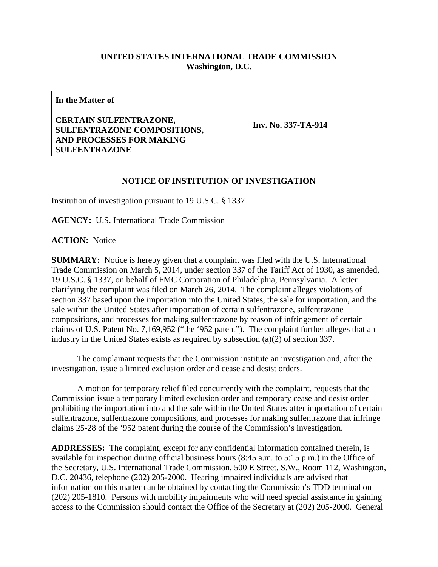## **UNITED STATES INTERNATIONAL TRADE COMMISSION Washington, D.C.**

**In the Matter of**

**CERTAIN SULFENTRAZONE, SULFENTRAZONE COMPOSITIONS, AND PROCESSES FOR MAKING SULFENTRAZONE**

**Inv. No. 337-TA-914**

## **NOTICE OF INSTITUTION OF INVESTIGATION**

Institution of investigation pursuant to 19 U.S.C. § 1337

**AGENCY:** U.S. International Trade Commission

**ACTION:** Notice

**SUMMARY:** Notice is hereby given that a complaint was filed with the U.S. International Trade Commission on March 5, 2014, under section 337 of the Tariff Act of 1930, as amended, 19 U.S.C. § 1337, on behalf of FMC Corporation of Philadelphia, Pennsylvania. A letter clarifying the complaint was filed on March 26, 2014. The complaint alleges violations of section 337 based upon the importation into the United States, the sale for importation, and the sale within the United States after importation of certain sulfentrazone, sulfentrazone compositions, and processes for making sulfentrazone by reason of infringement of certain claims of U.S. Patent No. 7,169,952 ("the '952 patent"). The complaint further alleges that an industry in the United States exists as required by subsection (a)(2) of section 337.

The complainant requests that the Commission institute an investigation and, after the investigation, issue a limited exclusion order and cease and desist orders.

A motion for temporary relief filed concurrently with the complaint, requests that the Commission issue a temporary limited exclusion order and temporary cease and desist order prohibiting the importation into and the sale within the United States after importation of certain sulfentrazone, sulfentrazone compositions, and processes for making sulfentrazone that infringe claims 25-28 of the '952 patent during the course of the Commission's investigation.

**ADDRESSES:** The complaint, except for any confidential information contained therein, is available for inspection during official business hours (8:45 a.m. to 5:15 p.m.) in the Office of the Secretary, U.S. International Trade Commission, 500 E Street, S.W., Room 112, Washington, D.C. 20436, telephone (202) 205-2000. Hearing impaired individuals are advised that information on this matter can be obtained by contacting the Commission's TDD terminal on (202) 205-1810. Persons with mobility impairments who will need special assistance in gaining access to the Commission should contact the Office of the Secretary at (202) 205-2000. General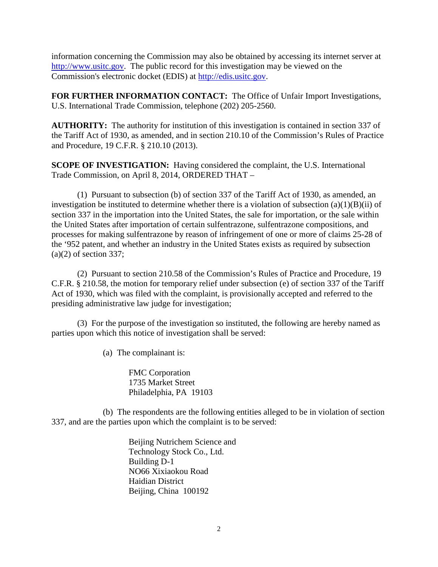information concerning the Commission may also be obtained by accessing its internet server at [http://www.usitc.gov.](http://www.usitc.gov/) The public record for this investigation may be viewed on the Commission's electronic docket (EDIS) at [http://edis.usitc.gov.](http://edis.usitc.gov/)

**FOR FURTHER INFORMATION CONTACT:** The Office of Unfair Import Investigations, U.S. International Trade Commission, telephone (202) 205-2560.

**AUTHORITY:** The authority for institution of this investigation is contained in section 337 of the Tariff Act of 1930, as amended, and in section 210.10 of the Commission's Rules of Practice and Procedure, 19 C.F.R. § 210.10 (2013).

**SCOPE OF INVESTIGATION:** Having considered the complaint, the U.S. International Trade Commission, on April 8, 2014, ORDERED THAT –

(1) Pursuant to subsection (b) of section 337 of the Tariff Act of 1930, as amended, an investigation be instituted to determine whether there is a violation of subsection  $(a)(1)(B)(ii)$  of section 337 in the importation into the United States, the sale for importation, or the sale within the United States after importation of certain sulfentrazone, sulfentrazone compositions, and processes for making sulfentrazone by reason of infringement of one or more of claims 25-28 of the '952 patent, and whether an industry in the United States exists as required by subsection  $(a)(2)$  of section 337;

(2) Pursuant to section 210.58 of the Commission's Rules of Practice and Procedure, 19 C.F.R. § 210.58, the motion for temporary relief under subsection (e) of section 337 of the Tariff Act of 1930, which was filed with the complaint, is provisionally accepted and referred to the presiding administrative law judge for investigation;

(3) For the purpose of the investigation so instituted, the following are hereby named as parties upon which this notice of investigation shall be served:

(a) The complainant is:

FMC Corporation 1735 Market Street Philadelphia, PA 19103

(b) The respondents are the following entities alleged to be in violation of section 337, and are the parties upon which the complaint is to be served:

> Beijing Nutrichem Science and Technology Stock Co., Ltd. Building D-1 NO66 Xixiaokou Road Haidian District Beijing, China 100192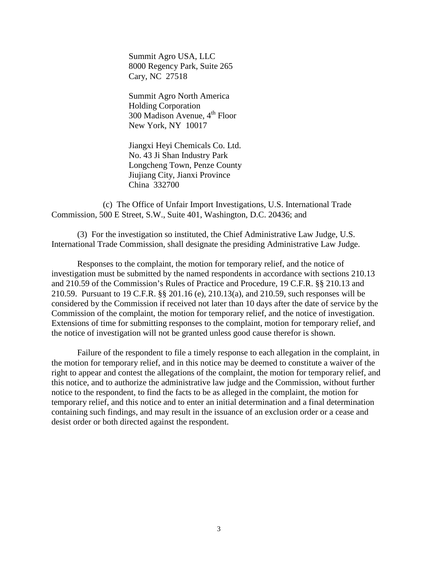Summit Agro USA, LLC 8000 Regency Park, Suite 265 Cary, NC 27518

Summit Agro North America Holding Corporation 300 Madison Avenue, 4<sup>th</sup> Floor New York, NY 10017

Jiangxi Heyi Chemicals Co. Ltd. No. 43 Ji Shan Industry Park Longcheng Town, Penze County Jiujiang City, Jianxi Province China 332700

(c) The Office of Unfair Import Investigations, U.S. International Trade Commission, 500 E Street, S.W., Suite 401, Washington, D.C. 20436; and

(3) For the investigation so instituted, the Chief Administrative Law Judge, U.S. International Trade Commission, shall designate the presiding Administrative Law Judge.

Responses to the complaint, the motion for temporary relief, and the notice of investigation must be submitted by the named respondents in accordance with sections 210.13 and 210.59 of the Commission's Rules of Practice and Procedure, 19 C.F.R. §§ 210.13 and 210.59. Pursuant to 19 C.F.R. §§ 201.16 (e), 210.13(a), and 210.59, such responses will be considered by the Commission if received not later than 10 days after the date of service by the Commission of the complaint, the motion for temporary relief, and the notice of investigation. Extensions of time for submitting responses to the complaint, motion for temporary relief, and the notice of investigation will not be granted unless good cause therefor is shown.

Failure of the respondent to file a timely response to each allegation in the complaint, in the motion for temporary relief, and in this notice may be deemed to constitute a waiver of the right to appear and contest the allegations of the complaint, the motion for temporary relief, and this notice, and to authorize the administrative law judge and the Commission, without further notice to the respondent, to find the facts to be as alleged in the complaint, the motion for temporary relief, and this notice and to enter an initial determination and a final determination containing such findings, and may result in the issuance of an exclusion order or a cease and desist order or both directed against the respondent.